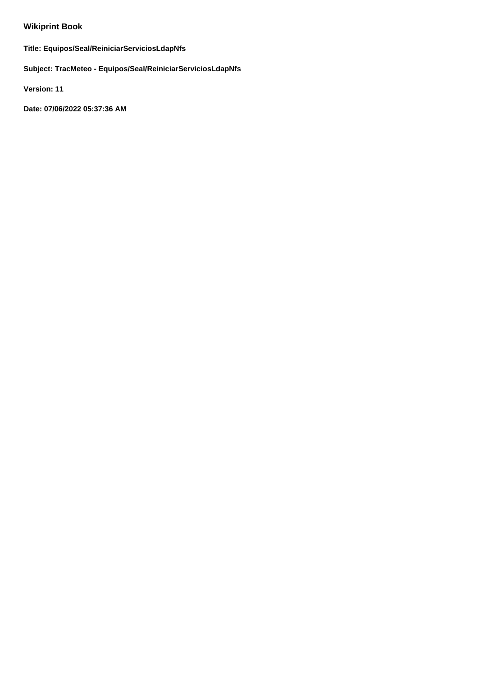# **Wikiprint Book**

**Title: Equipos/Seal/ReiniciarServiciosLdapNfs**

**Subject: TracMeteo - Equipos/Seal/ReiniciarServiciosLdapNfs**

**Version: 11**

**Date: 07/06/2022 05:37:36 AM**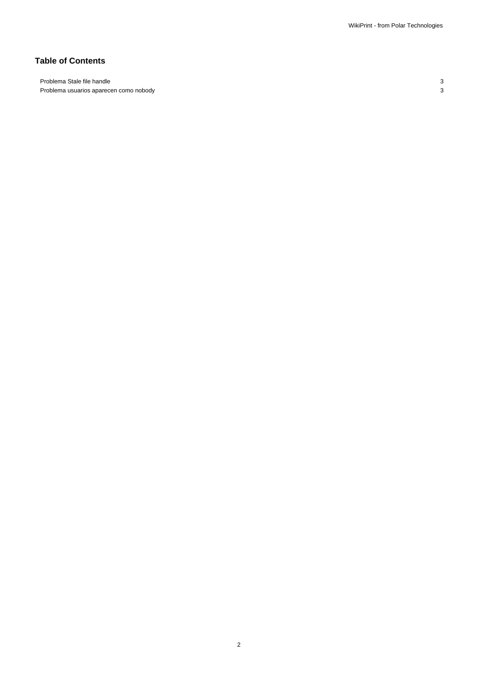## **Table of Contents**

Problema Stale file handle 33 Problema usuarios aparecen como nobody 3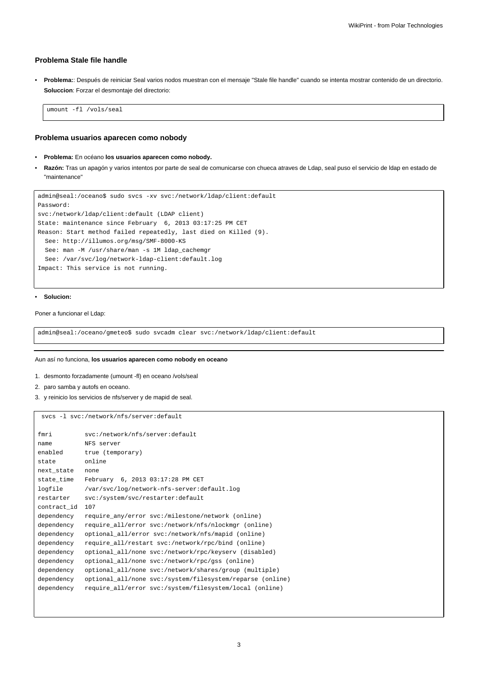### **Problema Stale file handle**

• **Problema:**: Después de reiniciar Seal varios nodos muestran con el mensaje "Stale file handle" cuando se intenta mostrar contenido de un directorio. **Soluccion**: Forzar el desmontaje del directorio:

umount -fl /vols/seal

### **Problema usuarios aparecen como nobody**

- **Problema:** En océano **los usuarios aparecen como nobody.**
- **Razón:** Tras un apagón y varios intentos por parte de seal de comunicarse con chueca atraves de Ldap, seal puso el servicio de ldap en estado de "maintenance"

```
admin@seal:/oceano$ sudo svcs -xv svc:/network/ldap/client:default
Password:
svc:/network/ldap/client:default (LDAP client)
State: maintenance since February 6, 2013 03:17:25 PM CET
Reason: Start method failed repeatedly, last died on Killed (9).
 See: http://illumos.org/msg/SMF-8000-KS
 See: man -M /usr/share/man -s 1M ldap_cachemgr
 See: /var/svc/log/network-ldap-client:default.log
Impact: This service is not running.
```
#### • **Solucion:**

Poner a funcionar el Ldap:

admin@seal:/oceano/gmeteo\$ sudo svcadm clear svc:/network/ldap/client:default

#### Aun así no funciona, **los usuarios aparecen como nobody en oceano**

- 1. desmonto forzadamente (umount -fl) en oceano /vols/seal
- 2. paro samba y autofs en oceano.
- 3. y reinicio los servicios de nfs/server y de mapid de seal.

svcs -l svc:/network/nfs/server:default

| fmri        | svc:/network/nfs/server:default                           |
|-------------|-----------------------------------------------------------|
| name        | NFS server                                                |
| enabled     | true (temporary)                                          |
| state       | online                                                    |
| next_state  | none                                                      |
| state_time  | February 6, 2013 03:17:28 PM CET                          |
| logfile     | /var/svc/log/network-nfs-server:default.log               |
| restarter   | svc:/system/svc/restarter:default                         |
| contract id | 107                                                       |
| dependency  | require any/error svc:/milestone/network (online)         |
| dependency  | require all/error svc:/network/nfs/nlockmqr (online)      |
| dependency  | optional_all/error svc:/network/nfs/mapid (online)        |
| dependency  | require_all/restart svc:/network/rpc/bind (online)        |
| dependency  | optional_all/none svc:/network/rpc/keyserv (disabled)     |
| dependency  | optional_all/none svc:/network/rpc/gss (online)           |
| dependency  | optional_all/none svc:/network/shares/group (multiple)    |
| dependency  | optional_all/none svc:/system/filesystem/reparse (online) |
| dependency  | require all/error svc:/system/filesystem/local (online)   |
|             |                                                           |